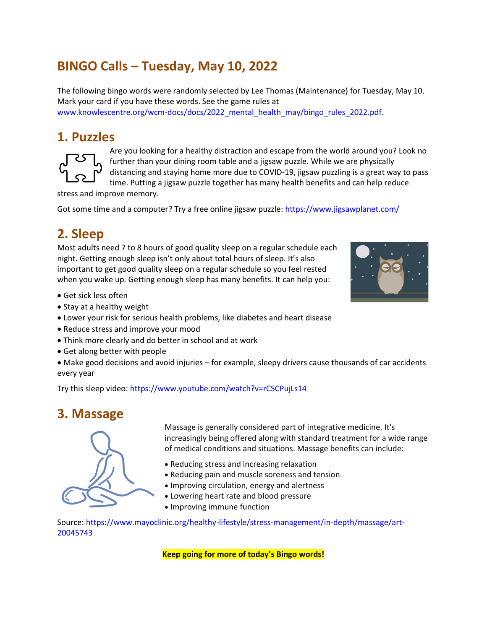# **BINGO Calls – Tuesday, May 10, 2022**

The following bingo words were randomly selected by Lee Thomas (Maintenance) for Tuesday, May 10. Mark your card if you have these words. See the game rules at www.knowlescentre.org/wcm-docs/docs/2022\_mental\_health\_may/bingo\_rules\_2022.pdf.

#### **1. Puzzles**



Are you looking for a healthy distraction and escape from the world around you? Look no further than your dining room table and a jigsaw puzzle. While we are physically distancing and staying home more due to COVID-19, jigsaw puzzling is a great way to pass time. Putting a jigsaw puzzle together has many health benefits and can help reduce

stress and improve memory.

Got some time and a computer? Try a free online jigsaw puzzle: https://www.jigsawplanet.com/

## **2. Sleep**

Most adults need 7 to 8 hours of good quality sleep on a regular schedule each night. Getting enough sleep isn't only about total hours of sleep. It's also important to get good quality sleep on a regular schedule so you feel rested when you wake up. Getting enough sleep has many benefits. It can help you:



- Get sick less often
- Stay at a healthy weight
- Lower your risk for serious health problems, like diabetes and heart disease
- Reduce stress and improve your mood
- Think more clearly and do better in school and at work
- Get along better with people
- Make good decisions and avoid injuries for example, sleepy drivers cause thousands of car accidents every year

Try this sleep video: https://www.youtube.com/watch?v=rCSCPujLs14

### **3. Massage**



Massage is generally considered part of integrative medicine. It's increasingly being offered along with standard treatment for a wide range of medical conditions and situations. Massage benefits can include:

- Reducing stress and increasing relaxation
- Reducing pain and muscle soreness and tension
- Improving circulation, energy and alertness
- Lowering heart rate and blood pressure
- Improving immune function

Source: https://www.mayoclinic.org/healthy-lifestyle/stress-management/in-depth/massage/art-20045743

**Keep going for more of today's Bingo words!**